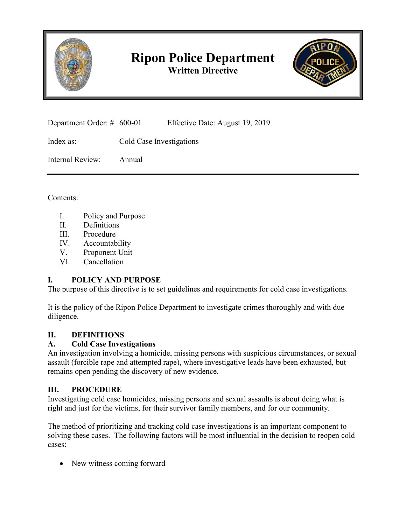

# **Ripon Police Department Written Directive**



Department Order: # 600-01 Effective Date: August 19, 2019

Index as: Cold Case Investigations

Internal Review: Annual

Contents:

- I. Policy and Purpose
- II. Definitions
- III. Procedure
- IV. Accountability
- V. Proponent Unit
- VI. Cancellation

# **I. POLICY AND PURPOSE**

The purpose of this directive is to set guidelines and requirements for cold case investigations.

It is the policy of the Ripon Police Department to investigate crimes thoroughly and with due diligence.

# **II. DEFINITIONS**

# **A. Cold Case Investigations**

An investigation involving a homicide, missing persons with suspicious circumstances, or sexual assault (forcible rape and attempted rape), where investigative leads have been exhausted, but remains open pending the discovery of new evidence.

# **III. PROCEDURE**

Investigating cold case homicides, missing persons and sexual assaults is about doing what is right and just for the victims, for their survivor family members, and for our community.

The method of prioritizing and tracking cold case investigations is an important component to solving these cases. The following factors will be most influential in the decision to reopen cold cases:

New witness coming forward